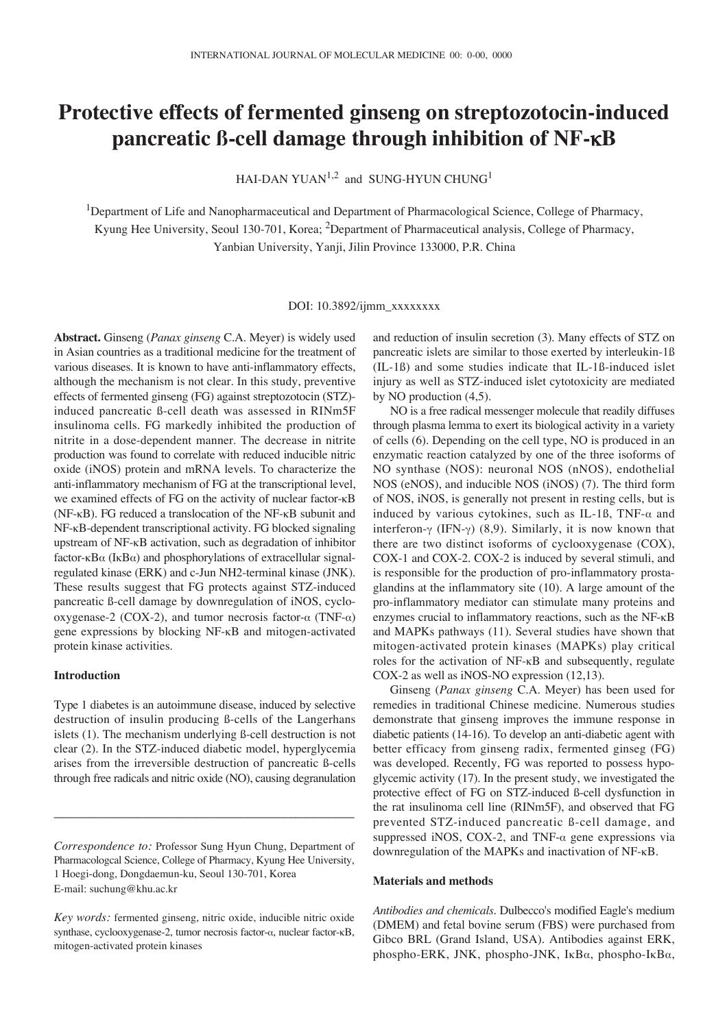# **Protective effects of fermented ginseng on streptozotocin-induced pancreatic ß-cell damage through inhibition of NF-**κ**B**

HAI-DAN YUAN<sup>1,2</sup> and SUNG-HYUN CHUNG<sup>1</sup>

<sup>1</sup>Department of Life and Nanopharmaceutical and Department of Pharmacological Science, College of Pharmacy, Kyung Hee University, Seoul 130-701, Korea; 2Department of Pharmaceutical analysis, College of Pharmacy, Yanbian University, Yanji, Jilin Province 133000, P.R. China

DOI: 10.3892/ijmm\_xxxxxxxx

**Abstract.** Ginseng (*Panax ginseng* C.A. Meyer) is widely used in Asian countries as a traditional medicine for the treatment of various diseases. It is known to have anti-inflammatory effects, although the mechanism is not clear. In this study, preventive effects of fermented ginseng (FG) against streptozotocin (STZ) induced pancreatic ß-cell death was assessed in RINm5F insulinoma cells. FG markedly inhibited the production of nitrite in a dose-dependent manner. The decrease in nitrite production was found to correlate with reduced inducible nitric oxide (iNOS) protein and mRNA levels. To characterize the anti-inflammatory mechanism of FG at the transcriptional level, we examined effects of FG on the activity of nuclear factor-κB (NF-κB). FG reduced a translocation of the NF-κB subunit and NF-κB-dependent transcriptional activity. FG blocked signaling upstream of NF-κB activation, such as degradation of inhibitor factor- $\kappa$ B $\alpha$  (I $\kappa$ B $\alpha$ ) and phosphorylations of extracellular signalregulated kinase (ERK) and c-Jun NH2-terminal kinase (JNK). These results suggest that FG protects against STZ-induced pancreatic ß-cell damage by downregulation of iNOS, cyclooxygenase-2 (COX-2), and tumor necrosis factor- $\alpha$  (TNF- $\alpha$ ) gene expressions by blocking NF-κB and mitogen-activated protein kinase activities.

## **Introduction**

Type 1 diabetes is an autoimmune disease, induced by selective destruction of insulin producing ß-cells of the Langerhans islets (1). The mechanism underlying ß-cell destruction is not clear (2). In the STZ-induced diabetic model, hyperglycemia arises from the irreversible destruction of pancreatic ß-cells through free radicals and nitric oxide (NO), causing degranulation

*Correspondence to:* Professor Sung Hyun Chung, Department of Pharmacologcal Science, College of Pharmacy, Kyung Hee University, 1 Hoegi-dong, Dongdaemun-ku, Seoul 130-701, Korea E-mail: suchung@khu.ac.kr

\_\_\_\_\_\_\_\_\_\_\_\_\_\_\_\_\_\_\_\_\_\_\_\_\_\_\_\_\_\_\_\_\_\_\_\_\_\_\_\_\_

and reduction of insulin secretion (3). Many effects of STZ on pancreatic islets are similar to those exerted by interleukin-1ß (IL-1ß) and some studies indicate that IL-1ß-induced islet injury as well as STZ-induced islet cytotoxicity are mediated by NO production (4,5).

NO is a free radical messenger molecule that readily diffuses through plasma lemma to exert its biological activity in a variety of cells (6). Depending on the cell type, NO is produced in an enzymatic reaction catalyzed by one of the three isoforms of NO synthase (NOS): neuronal NOS (nNOS), endothelial NOS (eNOS), and inducible NOS (iNOS) (7). The third form of NOS, iNOS, is generally not present in resting cells, but is induced by various cytokines, such as IL-1ß, TNF- $\alpha$  and interferon- $\gamma$  (IFN- $\gamma$ ) (8,9). Similarly, it is now known that there are two distinct isoforms of cyclooxygenase (COX), COX-1 and COX-2. COX-2 is induced by several stimuli, and is responsible for the production of pro-inflammatory prostaglandins at the inflammatory site (10). A large amount of the pro-inflammatory mediator can stimulate many proteins and enzymes crucial to inflammatory reactions, such as the NF-κB and MAPKs pathways (11). Several studies have shown that mitogen-activated protein kinases (MAPKs) play critical roles for the activation of NF-κB and subsequently, regulate COX-2 as well as iNOS-NO expression (12,13).

Ginseng (*Panax ginseng* C.A. Meyer) has been used for remedies in traditional Chinese medicine. Numerous studies demonstrate that ginseng improves the immune response in diabetic patients (14-16). To develop an anti-diabetic agent with better efficacy from ginseng radix, fermented ginseg (FG) was developed. Recently, FG was reported to possess hypoglycemic activity (17). In the present study, we investigated the protective effect of FG on STZ-induced ß-cell dysfunction in the rat insulinoma cell line (RINm5F), and observed that FG prevented STZ-induced pancreatic ß-cell damage, and suppressed iNOS, COX-2, and TNF- $\alpha$  gene expressions via downregulation of the MAPKs and inactivation of NF-κB.

### **Materials and methods**

*Antibodies and chemicals*. Dulbecco's modified Eagle's medium (DMEM) and fetal bovine serum (FBS) were purchased from Gibco BRL (Grand Island, USA). Antibodies against ERK, phospho-ERK, JNK, phospho-JNK, I $\kappa$ B $\alpha$ , phospho-I $\kappa$ B $\alpha$ ,

*Key words:* fermented ginseng, nitric oxide, inducible nitric oxide synthase, cyclooxygenase-2, tumor necrosis factor- $\alpha$ , nuclear factor- $\kappa B$ , mitogen-activated protein kinases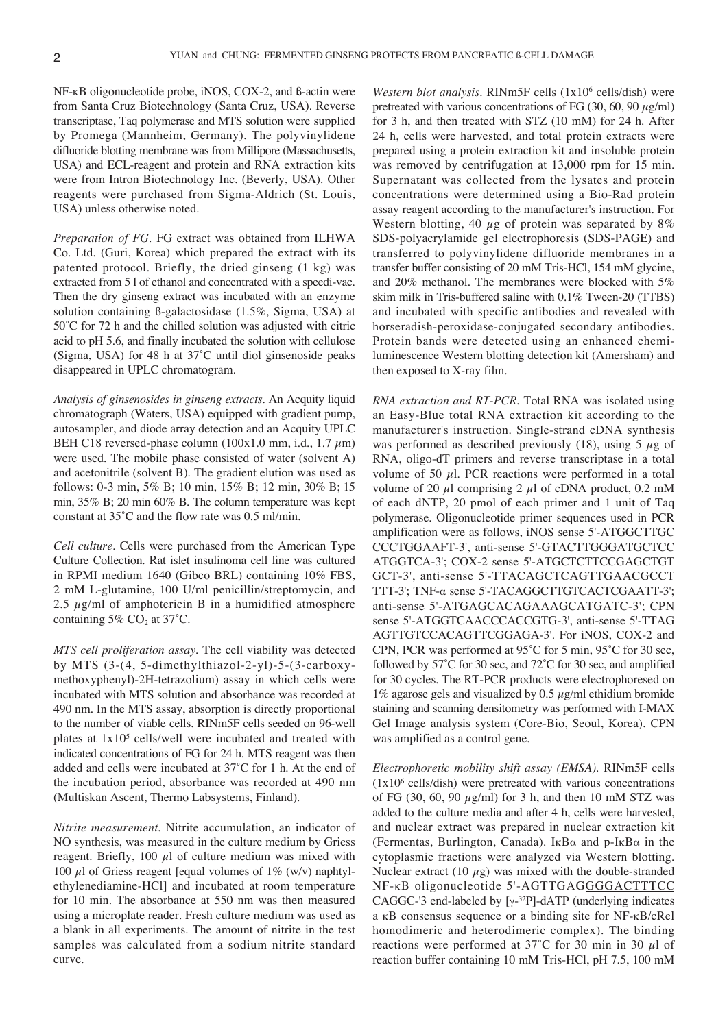NF-κB oligonucleotide probe, iNOS, COX-2, and ß-actin were from Santa Cruz Biotechnology (Santa Cruz, USA). Reverse transcriptase, Taq polymerase and MTS solution were supplied by Promega (Mannheim, Germany). The polyvinylidene difluoride blotting membrane was from Millipore (Massachusetts, USA) and ECL-reagent and protein and RNA extraction kits were from Intron Biotechnology Inc. (Beverly, USA). Other reagents were purchased from Sigma-Aldrich (St. Louis, USA) unless otherwise noted.

*Preparation of FG*. FG extract was obtained from ILHWA Co. Ltd. (Guri, Korea) which prepared the extract with its patented protocol. Briefly, the dried ginseng (1 kg) was extracted from 5 l of ethanol and concentrated with a speedi-vac. Then the dry ginseng extract was incubated with an enzyme solution containing ß-galactosidase (1.5%, Sigma, USA) at 50˚C for 72 h and the chilled solution was adjusted with citric acid to pH 5.6, and finally incubated the solution with cellulose (Sigma, USA) for 48 h at 37˚C until diol ginsenoside peaks disappeared in UPLC chromatogram.

*Analysis of ginsenosides in ginseng extracts*. An Acquity liquid chromatograph (Waters, USA) equipped with gradient pump, autosampler, and diode array detection and an Acquity UPLC BEH C18 reversed-phase column (100x1.0 mm, i.d., 1.7  $\mu$ m) were used. The mobile phase consisted of water (solvent A) and acetonitrile (solvent B). The gradient elution was used as follows: 0-3 min, 5% B; 10 min, 15% B; 12 min, 30% B; 15 min, 35% B; 20 min 60% B. The column temperature was kept constant at 35˚C and the flow rate was 0.5 ml/min.

*Cell culture*. Cells were purchased from the American Type Culture Collection. Rat islet insulinoma cell line was cultured in RPMI medium 1640 (Gibco BRL) containing 10% FBS, 2 mM L-glutamine, 100 U/ml penicillin/streptomycin, and 2.5  $\mu$ g/ml of amphotericin B in a humidified atmosphere containing  $5\%$  CO<sub>2</sub> at 37°C.

*MTS cell proliferation assay*. The cell viability was detected by MTS (3-(4, 5-dimethylthiazol-2-yl)-5-(3-carboxymethoxyphenyl)-2H-tetrazolium) assay in which cells were incubated with MTS solution and absorbance was recorded at 490 nm. In the MTS assay, absorption is directly proportional to the number of viable cells. RINm5F cells seeded on 96-well plates at 1x105 cells/well were incubated and treated with indicated concentrations of FG for 24 h. MTS reagent was then added and cells were incubated at 37˚C for 1 h. At the end of the incubation period, absorbance was recorded at 490 nm (Multiskan Ascent, Thermo Labsystems, Finland).

*Nitrite measurement*. Nitrite accumulation, an indicator of NO synthesis, was measured in the culture medium by Griess reagent. Briefly, 100  $\mu$ l of culture medium was mixed with 100 μl of Griess reagent [equal volumes of 1% (w/v) naphtylethylenediamine-HCl] and incubated at room temperature for 10 min. The absorbance at 550 nm was then measured using a microplate reader. Fresh culture medium was used as a blank in all experiments. The amount of nitrite in the test samples was calculated from a sodium nitrite standard curve.

*Western blot analysis*. RINm5F cells (1x106 cells/dish) were pretreated with various concentrations of FG (30, 60, 90  $\mu$ g/ml) for 3 h, and then treated with STZ (10 mM) for 24 h. After 24 h, cells were harvested, and total protein extracts were prepared using a protein extraction kit and insoluble protein was removed by centrifugation at 13,000 rpm for 15 min. Supernatant was collected from the lysates and protein concentrations were determined using a Bio-Rad protein assay reagent according to the manufacturer's instruction. For Western blotting, 40  $\mu$ g of protein was separated by 8% SDS-polyacrylamide gel electrophoresis (SDS-PAGE) and transferred to polyvinylidene difluoride membranes in a transfer buffer consisting of 20 mM Tris-HCl, 154 mM glycine, and 20% methanol. The membranes were blocked with 5% skim milk in Tris-buffered saline with 0.1% Tween-20 (TTBS) and incubated with specific antibodies and revealed with horseradish-peroxidase-conjugated secondary antibodies. Protein bands were detected using an enhanced chemiluminescence Western blotting detection kit (Amersham) and then exposed to X-ray film.

*RNA extraction and RT-PCR*. Total RNA was isolated using an Easy-Blue total RNA extraction kit according to the manufacturer's instruction. Single-strand cDNA synthesis was performed as described previously (18), using 5  $\mu$ g of RNA, oligo-dT primers and reverse transcriptase in a total volume of 50  $\mu$ l. PCR reactions were performed in a total volume of 20  $\mu$ l comprising 2  $\mu$ l of cDNA product, 0.2 mM of each dNTP, 20 pmol of each primer and 1 unit of Taq polymerase. Oligonucleotide primer sequences used in PCR amplification were as follows, iNOS sense 5'-ATGGCTTGC CCCTGGAAFT-3', anti-sense 5'-GTACTTGGGATGCTCC ATGGTCA-3'; COX-2 sense 5'-ATGCTCTTCCGAGCTGT GCT-3', anti-sense 5'-TTACAGCTCAGTTGAACGCCT TTT-3'; TNF- $\alpha$  sense 5'-TACAGGCTTGTCACTCGAATT-3'; anti-sense 5'-ATGAGCACAGAAAGCATGATC-3'; CPN sense 5'-ATGGTCAACCCACCGTG-3', anti-sense 5'-TTAG AGTTGTCCACAGTTCGGAGA-3'. For iNOS, COX-2 and CPN, PCR was performed at 95˚C for 5 min, 95˚C for 30 sec, followed by 57˚C for 30 sec, and 72˚C for 30 sec, and amplified for 30 cycles. The RT-PCR products were electrophoresed on 1% agarose gels and visualized by 0.5  $\mu$ g/ml ethidium bromide staining and scanning densitometry was performed with I-MAX Gel Image analysis system (Core-Bio, Seoul, Korea). CPN was amplified as a control gene.

*Electrophoretic mobility shift assay (EMSA)*. RINm5F cells  $(1x10<sup>6</sup>$  cells/dish) were pretreated with various concentrations of FG (30, 60, 90  $\mu$ g/ml) for 3 h, and then 10 mM STZ was added to the culture media and after 4 h, cells were harvested, and nuclear extract was prepared in nuclear extraction kit (Fermentas, Burlington, Canada). IKB $\alpha$  and p-IKB $\alpha$  in the cytoplasmic fractions were analyzed via Western blotting. Nuclear extract (10  $\mu$ g) was mixed with the double-stranded NF-κB oligonucleotide 5'-AGTTGAGGGGACTTTCC CAGGC-'3 end-labeled by  $[\gamma$ -<sup>32</sup>P]-dATP (underlying indicates a κB consensus sequence or a binding site for NF-κB/cRel homodimeric and heterodimeric complex). The binding reactions were performed at  $37^{\circ}$ C for 30 min in 30  $\mu$ l of reaction buffer containing 10 mM Tris-HCl, pH 7.5, 100 mM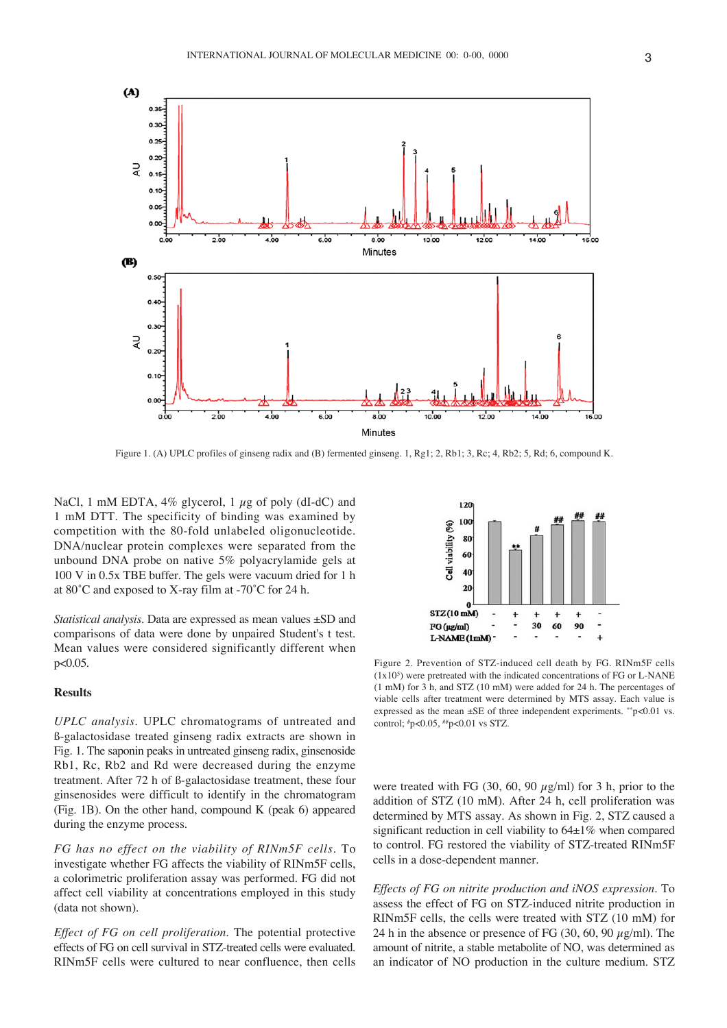

Figure 1. (A) UPLC profiles of ginseng radix and (B) fermented ginseng. 1, Rg1; 2, Rb1; 3, Rc; 4, Rb2; 5, Rd; 6, compound K.

NaCl, 1 mM EDTA,  $4\%$  glycerol, 1  $\mu$ g of poly (dI-dC) and 1 mM DTT. The specificity of binding was examined by competition with the 80-fold unlabeled oligonucleotide. DNA/nuclear protein complexes were separated from the unbound DNA probe on native 5% polyacrylamide gels at 100 V in 0.5x TBE buffer. The gels were vacuum dried for 1 h at 80˚C and exposed to X-ray film at -70˚C for 24 h.

*Statistical analysis*. Data are expressed as mean values ±SD and comparisons of data were done by unpaired Student's t test. Mean values were considered significantly different when p<0.05.

# **Results**

*UPLC analysis*. UPLC chromatograms of untreated and ß-galactosidase treated ginseng radix extracts are shown in Fig. 1. The saponin peaks in untreated ginseng radix, ginsenoside Rb1, Rc, Rb2 and Rd were decreased during the enzyme treatment. After 72 h of ß-galactosidase treatment, these four ginsenosides were difficult to identify in the chromatogram (Fig. 1B). On the other hand, compound K (peak 6) appeared during the enzyme process.

*FG has no effect on the viability of RINm5F cells*. To investigate whether FG affects the viability of RINm5F cells, a colorimetric proliferation assay was performed. FG did not affect cell viability at concentrations employed in this study (data not shown).

*Effect of FG on cell proliferation*. The potential protective effects of FG on cell survival in STZ-treated cells were evaluated. RINm5F cells were cultured to near confluence, then cells



Figure 2. Prevention of STZ-induced cell death by FG. RINm5F cells  $(1x10<sup>5</sup>)$  were pretreated with the indicated concentrations of FG or L-NANE (1 mM) for 3 h, and STZ (10 mM) were added for 24 h. The percentages of viable cells after treatment were determined by MTS assay. Each value is expressed as the mean  $\pm$ SE of three independent experiments. \*\*p<0.01 vs. control; #p<0.05, ##p<0.01 vs STZ.

were treated with FG (30, 60, 90  $\mu$ g/ml) for 3 h, prior to the addition of STZ (10 mM). After 24 h, cell proliferation was determined by MTS assay. As shown in Fig. 2, STZ caused a significant reduction in cell viability to  $64\pm1\%$  when compared to control. FG restored the viability of STZ-treated RINm5F cells in a dose-dependent manner.

*Effects of FG on nitrite production and iNOS expression*. To assess the effect of FG on STZ-induced nitrite production in RINm5F cells, the cells were treated with STZ (10 mM) for 24 h in the absence or presence of FG  $(30, 60, 90 \mu g/ml)$ . The amount of nitrite, a stable metabolite of NO, was determined as an indicator of NO production in the culture medium. STZ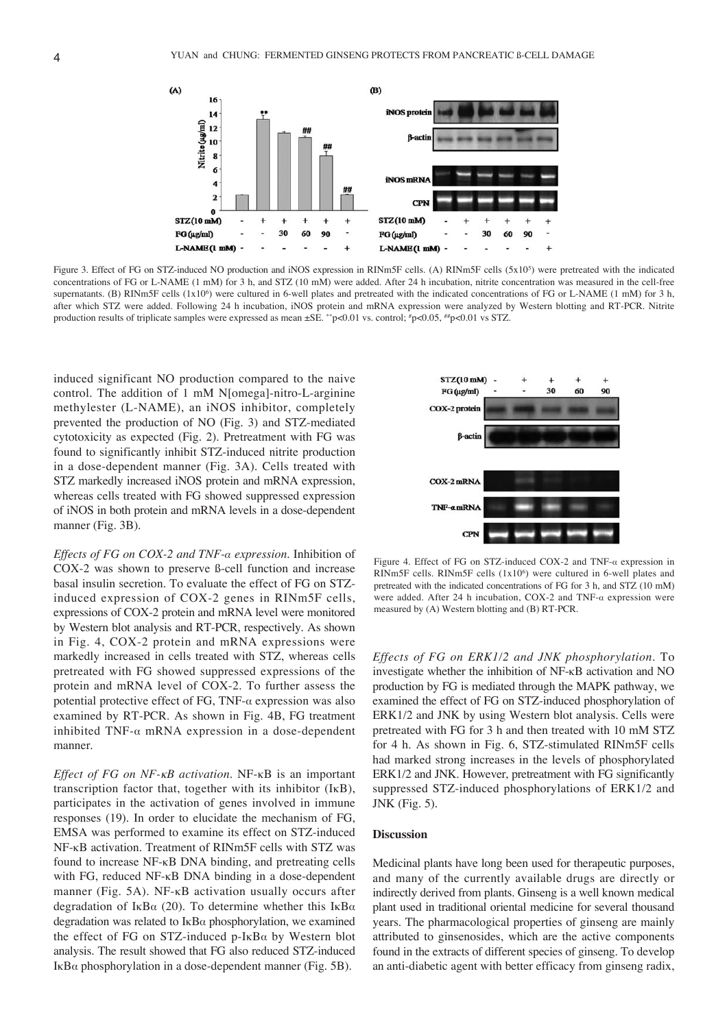

Figure 3. Effect of FG on STZ-induced NO production and iNOS expression in RINm5F cells. (A) RINm5F cells (5x105) were pretreated with the indicated concentrations of FG or L-NAME (1 mM) for 3 h, and STZ (10 mM) were added. After 24 h incubation, nitrite concentration was measured in the cell-free supernatants. (B) RINm5F cells (1x10<sup>6</sup>) were cultured in 6-well plates and pretreated with the indicated concentrations of FG or L-NAME (1 mM) for 3 h, after which STZ were added. Following 24 h incubation, iNOS protein and mRNA expression were analyzed by Western blotting and RT-PCR. Nitrite production results of triplicate samples were expressed as mean  $\pm$ SE. \*\*p<0.01 vs. control; \*p<0.05, \*\*p<0.01 vs STZ.

induced significant NO production compared to the naive control. The addition of 1 mM N[omega]-nitro-L-arginine methylester (L-NAME), an iNOS inhibitor, completely prevented the production of NO (Fig. 3) and STZ-mediated cytotoxicity as expected (Fig. 2). Pretreatment with FG was found to significantly inhibit STZ-induced nitrite production in a dose-dependent manner (Fig. 3A). Cells treated with STZ markedly increased iNOS protein and mRNA expression, whereas cells treated with FG showed suppressed expression of iNOS in both protein and mRNA levels in a dose-dependent manner (Fig. 3B).

*Effects of FG on COX-2 and TNF-· expression*. Inhibition of COX-2 was shown to preserve ß-cell function and increase basal insulin secretion. To evaluate the effect of FG on STZinduced expression of COX-2 genes in RINm5F cells, expressions of COX-2 protein and mRNA level were monitored by Western blot analysis and RT-PCR, respectively. As shown in Fig. 4, COX-2 protein and mRNA expressions were markedly increased in cells treated with STZ, whereas cells pretreated with FG showed suppressed expressions of the protein and mRNA level of COX-2. To further assess the potential protective effect of FG, TNF- $\alpha$  expression was also examined by RT-PCR. As shown in Fig. 4B, FG treatment inhibited TNF- $\alpha$  mRNA expression in a dose-dependent manner.

*Effect of FG on NF-*κ*B activation*. NF-κB is an important transcription factor that, together with its inhibitor (IκB), participates in the activation of genes involved in immune responses (19). In order to elucidate the mechanism of FG, EMSA was performed to examine its effect on STZ-induced NF-κB activation. Treatment of RINm5F cells with STZ was found to increase NF-κB DNA binding, and pretreating cells with FG, reduced NF-κB DNA binding in a dose-dependent manner (Fig. 5A). NF-κB activation usually occurs after degradation of I<sub>K</sub>B $\alpha$  (20). To determine whether this I<sub>K</sub>B $\alpha$ degradation was related to  $I_{\kappa}B_{\alpha}$  phosphorylation, we examined the effect of FG on STZ-induced p-I $\kappa$ B $\alpha$  by Western blot analysis. The result showed that FG also reduced STZ-induced IκB $α$  phosphorylation in a dose-dependent manner (Fig. 5B).



Figure 4. Effect of FG on STZ-induced COX-2 and TNF- $\alpha$  expression in RINm5F cells. RINm5F cells  $(1x10<sup>6</sup>)$  were cultured in 6-well plates and pretreated with the indicated concentrations of FG for 3 h, and STZ (10 mM) were added. After 24 h incubation, COX-2 and TNF- $\alpha$  expression were measured by (A) Western blotting and (B) RT-PCR.

*Effects of FG on ERK1/2 and JNK phosphorylation*. To investigate whether the inhibition of NF-κB activation and NO production by FG is mediated through the MAPK pathway, we examined the effect of FG on STZ-induced phosphorylation of ERK1/2 and JNK by using Western blot analysis. Cells were pretreated with FG for 3 h and then treated with 10 mM STZ for 4 h. As shown in Fig. 6, STZ-stimulated RINm5F cells had marked strong increases in the levels of phosphorylated ERK1/2 and JNK. However, pretreatment with FG significantly suppressed STZ-induced phosphorylations of ERK1/2 and JNK (Fig. 5).

#### **Discussion**

Medicinal plants have long been used for therapeutic purposes, and many of the currently available drugs are directly or indirectly derived from plants. Ginseng is a well known medical plant used in traditional oriental medicine for several thousand years. The pharmacological properties of ginseng are mainly attributed to ginsenosides, which are the active components found in the extracts of different species of ginseng. To develop an anti-diabetic agent with better efficacy from ginseng radix,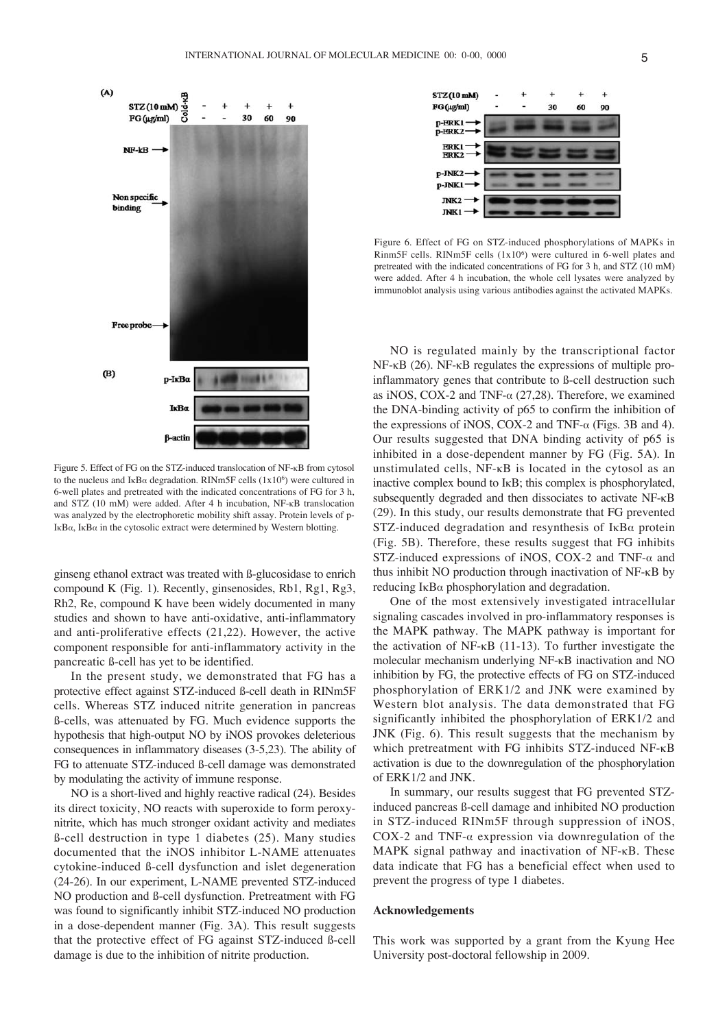

Figure 5. Effect of FG on the STZ-induced translocation of NF-κB from cytosol to the nucleus and  $I_{\kappa}B_{\alpha}$  degradation. RINm5F cells (1x10<sup>6</sup>) were cultured in 6-well plates and pretreated with the indicated concentrations of FG for 3 h, and STZ (10 mM) were added. After 4 h incubation, NF-κB translocation was analyzed by the electrophoretic mobility shift assay. Protein levels of p-IκB $α$ , IκB $α$  in the cytosolic extract were determined by Western blotting.

ginseng ethanol extract was treated with ß-glucosidase to enrich compound K (Fig. 1). Recently, ginsenosides, Rb1, Rg1, Rg3, Rh2, Re, compound K have been widely documented in many studies and shown to have anti-oxidative, anti-inflammatory and anti-proliferative effects (21,22). However, the active component responsible for anti-inflammatory activity in the pancreatic ß-cell has yet to be identified.

In the present study, we demonstrated that FG has a protective effect against STZ-induced ß-cell death in RINm5F cells. Whereas STZ induced nitrite generation in pancreas ß-cells, was attenuated by FG. Much evidence supports the hypothesis that high-output NO by iNOS provokes deleterious consequences in inflammatory diseases (3-5,23). The ability of FG to attenuate STZ-induced ß-cell damage was demonstrated by modulating the activity of immune response.

NO is a short-lived and highly reactive radical (24). Besides its direct toxicity, NO reacts with superoxide to form peroxynitrite, which has much stronger oxidant activity and mediates ß-cell destruction in type 1 diabetes (25). Many studies documented that the iNOS inhibitor L-NAME attenuates cytokine-induced ß-cell dysfunction and islet degeneration (24-26). In our experiment, L-NAME prevented STZ-induced NO production and ß-cell dysfunction. Pretreatment with FG was found to significantly inhibit STZ-induced NO production in a dose-dependent manner (Fig. 3A). This result suggests that the protective effect of FG against STZ-induced ß-cell damage is due to the inhibition of nitrite production.



Figure 6. Effect of FG on STZ-induced phosphorylations of MAPKs in Rinm5F cells. RINm5F cells (1x106) were cultured in 6-well plates and pretreated with the indicated concentrations of FG for 3 h, and STZ (10 mM) were added. After 4 h incubation, the whole cell lysates were analyzed by immunoblot analysis using various antibodies against the activated MAPKs.

NO is regulated mainly by the transcriptional factor NF-κB (26). NF-κB regulates the expressions of multiple proinflammatory genes that contribute to ß-cell destruction such as iNOS, COX-2 and TNF- $\alpha$  (27,28). Therefore, we examined the DNA-binding activity of p65 to confirm the inhibition of the expressions of iNOS, COX-2 and TNF- $\alpha$  (Figs. 3B and 4). Our results suggested that DNA binding activity of p65 is inhibited in a dose-dependent manner by FG (Fig. 5A). In unstimulated cells, NF-κB is located in the cytosol as an inactive complex bound to IκB; this complex is phosphorylated, subsequently degraded and then dissociates to activate NF-κB (29). In this study, our results demonstrate that FG prevented STZ-induced degradation and resynthesis of  $I \kappa B\alpha$  protein (Fig. 5B). Therefore, these results suggest that FG inhibits STZ-induced expressions of iNOS, COX-2 and TNF- $\alpha$  and thus inhibit NO production through inactivation of NF-κB by reducing  $I \kappa B\alpha$  phosphorylation and degradation.

One of the most extensively investigated intracellular signaling cascades involved in pro-inflammatory responses is the MAPK pathway. The MAPK pathway is important for the activation of NF-κB (11-13). To further investigate the molecular mechanism underlying NF-κB inactivation and NO inhibition by FG, the protective effects of FG on STZ-induced phosphorylation of ERK1/2 and JNK were examined by Western blot analysis. The data demonstrated that FG significantly inhibited the phosphorylation of ERK1/2 and JNK (Fig. 6). This result suggests that the mechanism by which pretreatment with FG inhibits STZ-induced NF-κB activation is due to the downregulation of the phosphorylation of ERK1/2 and JNK.

In summary, our results suggest that FG prevented STZinduced pancreas ß-cell damage and inhibited NO production in STZ-induced RINm5F through suppression of iNOS, COX-2 and TNF- $\alpha$  expression via downregulation of the MAPK signal pathway and inactivation of NF-κB. These data indicate that FG has a beneficial effect when used to prevent the progress of type 1 diabetes.

#### **Acknowledgements**

This work was supported by a grant from the Kyung Hee University post-doctoral fellowship in 2009.